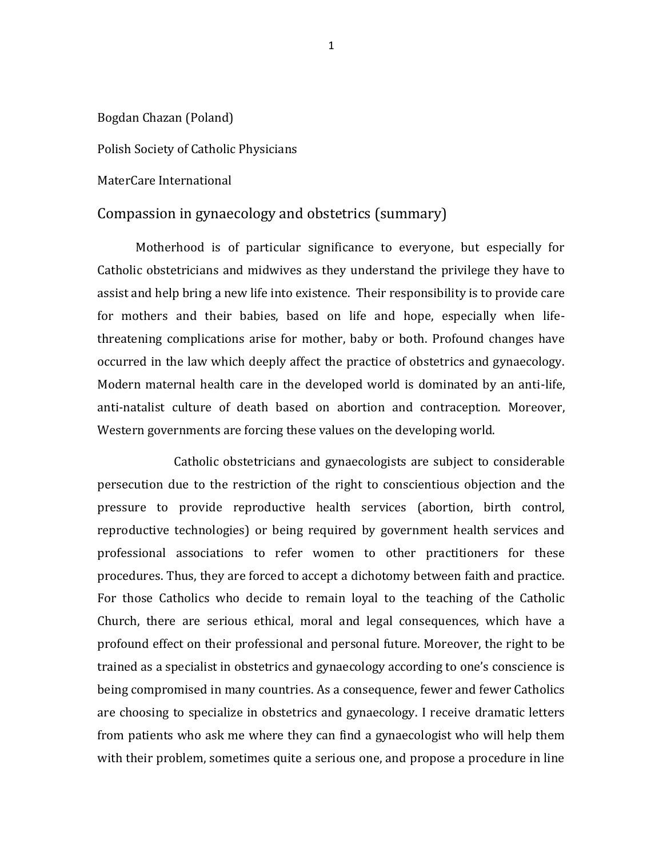## Bogdan Chazan (Poland)

## Polish Society of Catholic Physicians

MaterCare International

## Compassion in gynaecology and obstetrics (summary)

Motherhood is of particular significance to everyone, but especially for Catholic obstetricians and midwives as they understand the privilege they have to assist and help bring a new life into existence. Their responsibility is to provide care for mothers and their babies, based on life and hope, especially when lifethreatening complications arise for mother, baby or both. Profound changes have occurred in the law which deeply affect the practice of obstetrics and gynaecology. Modern maternal health care in the developed world is dominated by an anti-life, anti-natalist culture of death based on abortion and contraception. Moreover, Western governments are forcing these values on the developing world.

Catholic obstetricians and gynaecologists are subject to considerable persecution due to the restriction of the right to conscientious objection and the pressure to provide reproductive health services (abortion, birth control, reproductive technologies) or being required by government health services and professional associations to refer women to other practitioners for these procedures. Thus, they are forced to accept a dichotomy between faith and practice. For those Catholics who decide to remain loyal to the teaching of the Catholic Church, there are serious ethical, moral and legal consequences, which have a profound effect on their professional and personal future. Moreover, the right to be trained as a specialist in obstetrics and gynaecology according to one's conscience is being compromised in many countries. As a consequence, fewer and fewer Catholics are choosing to specialize in obstetrics and gynaecology. I receive dramatic letters from patients who ask me where they can find a gynaecologist who will help them with their problem, sometimes quite a serious one, and propose a procedure in line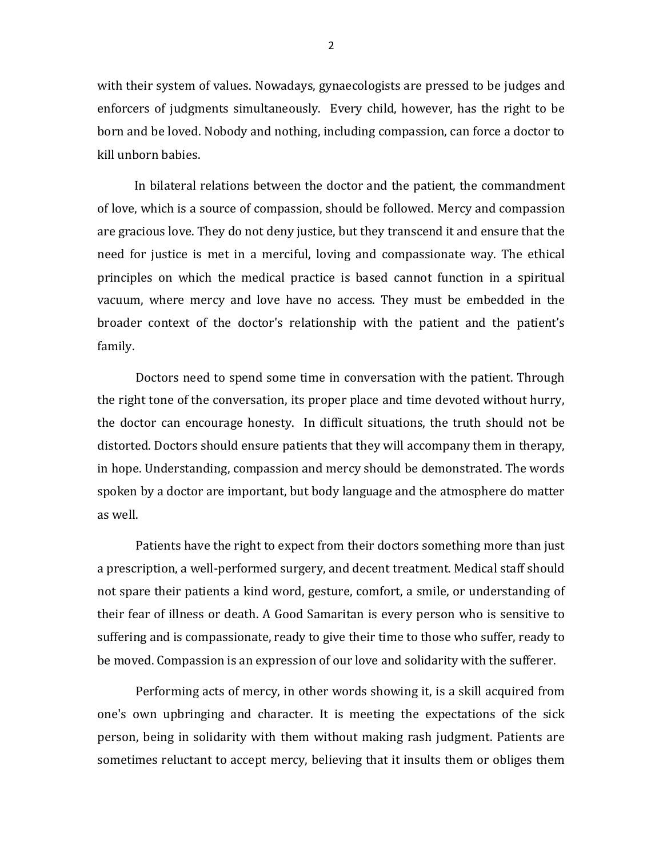with their system of values. Nowadays, gynaecologists are pressed to be judges and enforcers of judgments simultaneously. Every child, however, has the right to be born and be loved. Nobody and nothing, including compassion, can force a doctor to kill unborn babies.

 In bilateral relations between the doctor and the patient, the commandment of love, which is a source of compassion, should be followed. Mercy and compassion are gracious love. They do not deny justice, but they transcend it and ensure that the need for justice is met in a merciful, loving and compassionate way. The ethical principles on which the medical practice is based cannot function in a spiritual vacuum, where mercy and love have no access. They must be embedded in the broader context of the doctor's relationship with the patient and the patient's family.

Doctors need to spend some time in conversation with the patient. Through the right tone of the conversation, its proper place and time devoted without hurry, the doctor can encourage honesty. In difficult situations, the truth should not be distorted. Doctors should ensure patients that they will accompany them in therapy, in hope. Understanding, compassion and mercy should be demonstrated. The words spoken by a doctor are important, but body language and the atmosphere do matter as well.

Patients have the right to expect from their doctors something more than just a prescription, a well-performed surgery, and decent treatment. Medical staff should not spare their patients a kind word, gesture, comfort, a smile, or understanding of their fear of illness or death. A Good Samaritan is every person who is sensitive to suffering and is compassionate, ready to give their time to those who suffer, ready to be moved. Compassion is an expression of our love and solidarity with the sufferer.

Performing acts of mercy, in other words showing it, is a skill acquired from one's own upbringing and character. It is meeting the expectations of the sick person, being in solidarity with them without making rash judgment. Patients are sometimes reluctant to accept mercy, believing that it insults them or obliges them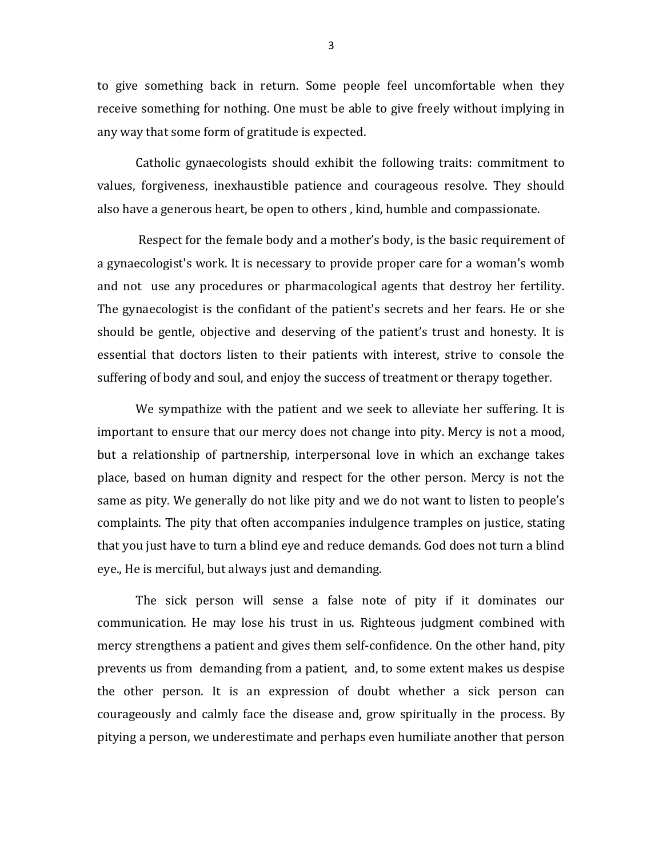to give something back in return. Some people feel uncomfortable when they receive something for nothing. One must be able to give freely without implying in any way that some form of gratitude is expected.

Catholic gynaecologists should exhibit the following traits: commitment to values, forgiveness, inexhaustible patience and courageous resolve. They should also have a generous heart, be open to others , kind, humble and compassionate.

Respect for the female body and a mother's body, is the basic requirement of a gynaecologist's work. It is necessary to provide proper care for a woman's womb and not use any procedures or pharmacological agents that destroy her fertility. The gynaecologist is the confidant of the patient's secrets and her fears. He or she should be gentle, objective and deserving of the patient's trust and honesty. It is essential that doctors listen to their patients with interest, strive to console the suffering of body and soul, and enjoy the success of treatment or therapy together.

We sympathize with the patient and we seek to alleviate her suffering. It is important to ensure that our mercy does not change into pity. Mercy is not a mood, but a relationship of partnership, interpersonal love in which an exchange takes place, based on human dignity and respect for the other person. Mercy is not the same as pity. We generally do not like pity and we do not want to listen to people's complaints. The pity that often accompanies indulgence tramples on justice, stating that you just have to turn a blind eye and reduce demands. God does not turn a blind eye., He is merciful, but always just and demanding.

The sick person will sense a false note of pity if it dominates our communication. He may lose his trust in us. Righteous judgment combined with mercy strengthens a patient and gives them self-confidence. On the other hand, pity prevents us from demanding from a patient, and, to some extent makes us despise the other person. It is an expression of doubt whether a sick person can courageously and calmly face the disease and, grow spiritually in the process. By pitying a person, we underestimate and perhaps even humiliate another that person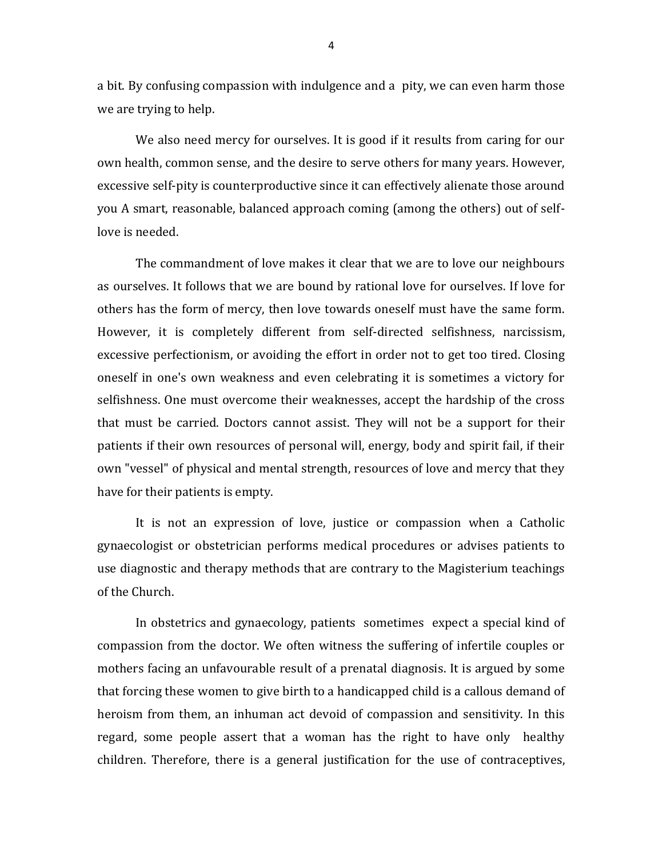a bit. By confusing compassion with indulgence and a pity, we can even harm those we are trying to help.

We also need mercy for ourselves. It is good if it results from caring for our own health, common sense, and the desire to serve others for many years. However, excessive self-pity is counterproductive since it can effectively alienate those around you A smart, reasonable, balanced approach coming (among the others) out of selflove is needed.

The commandment of love makes it clear that we are to love our neighbours as ourselves. It follows that we are bound by rational love for ourselves. If love for others has the form of mercy, then love towards oneself must have the same form. However, it is completely different from self-directed selfishness, narcissism, excessive perfectionism, or avoiding the effort in order not to get too tired. Closing oneself in one's own weakness and even celebrating it is sometimes a victory for selfishness. One must overcome their weaknesses, accept the hardship of the cross that must be carried. Doctors cannot assist. They will not be a support for their patients if their own resources of personal will, energy, body and spirit fail, if their own "vessel" of physical and mental strength, resources of love and mercy that they have for their patients is empty.

It is not an expression of love, justice or compassion when a Catholic gynaecologist or obstetrician performs medical procedures or advises patients to use diagnostic and therapy methods that are contrary to the Magisterium teachings of the Church.

In obstetrics and gynaecology, patients sometimes expect a special kind of compassion from the doctor. We often witness the suffering of infertile couples or mothers facing an unfavourable result of a prenatal diagnosis. It is argued by some that forcing these women to give birth to a handicapped child is a callous demand of heroism from them, an inhuman act devoid of compassion and sensitivity. In this regard, some people assert that a woman has the right to have only healthy children. Therefore, there is a general justification for the use of contraceptives,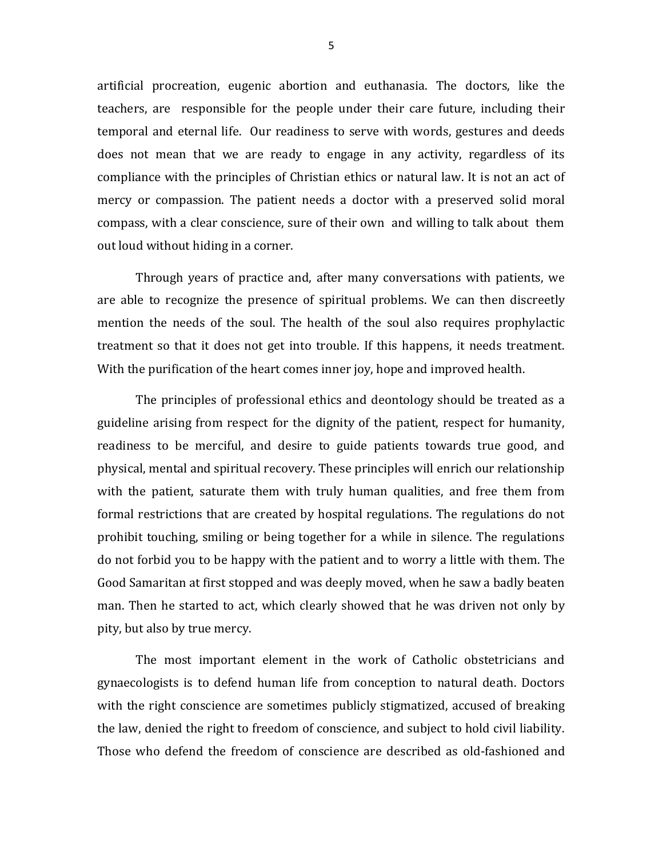artificial procreation, eugenic abortion and euthanasia. The doctors, like the teachers, are responsible for the people under their care future, including their temporal and eternal life. Our readiness to serve with words, gestures and deeds does not mean that we are ready to engage in any activity, regardless of its compliance with the principles of Christian ethics or natural law. It is not an act of mercy or compassion. The patient needs a doctor with a preserved solid moral compass, with a clear conscience, sure of their own and willing to talk about them out loud without hiding in a corner.

Through years of practice and, after many conversations with patients, we are able to recognize the presence of spiritual problems. We can then discreetly mention the needs of the soul. The health of the soul also requires prophylactic treatment so that it does not get into trouble. If this happens, it needs treatment. With the purification of the heart comes inner joy, hope and improved health.

The principles of professional ethics and deontology should be treated as a guideline arising from respect for the dignity of the patient, respect for humanity, readiness to be merciful, and desire to guide patients towards true good, and physical, mental and spiritual recovery. These principles will enrich our relationship with the patient, saturate them with truly human qualities, and free them from formal restrictions that are created by hospital regulations. The regulations do not prohibit touching, smiling or being together for a while in silence. The regulations do not forbid you to be happy with the patient and to worry a little with them. The Good Samaritan at first stopped and was deeply moved, when he saw a badly beaten man. Then he started to act, which clearly showed that he was driven not only by pity, but also by true mercy.

The most important element in the work of Catholic obstetricians and gynaecologists is to defend human life from conception to natural death. Doctors with the right conscience are sometimes publicly stigmatized, accused of breaking the law, denied the right to freedom of conscience, and subject to hold civil liability. Those who defend the freedom of conscience are described as old-fashioned and